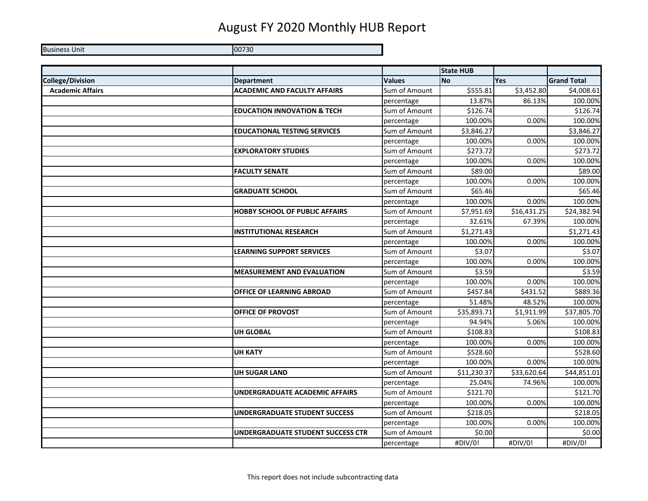Business Unit 00730

|                         |                                          |               | <b>State HUB</b> |             |                    |
|-------------------------|------------------------------------------|---------------|------------------|-------------|--------------------|
| <b>College/Division</b> | <b>Department</b>                        | <b>Values</b> | <b>No</b>        | <b>Yes</b>  | <b>Grand Total</b> |
| <b>Academic Affairs</b> | <b>ACADEMIC AND FACULTY AFFAIRS</b>      | Sum of Amount | \$555.81         | \$3,452.80  | \$4,008.61         |
|                         |                                          | percentage    | 13.87%           | 86.13%      | 100.00%            |
|                         | <b>EDUCATION INNOVATION &amp; TECH</b>   | Sum of Amount | \$126.74         |             | \$126.74           |
|                         |                                          | percentage    | 100.00%          | 0.00%       | 100.00%            |
|                         | <b>EDUCATIONAL TESTING SERVICES</b>      | Sum of Amount | \$3,846.27       |             | \$3,846.27         |
|                         |                                          | percentage    | 100.00%          | 0.00%       | 100.00%            |
|                         | <b>EXPLORATORY STUDIES</b>               | Sum of Amount | \$273.72         |             | \$273.72           |
|                         |                                          | percentage    | 100.00%          | 0.00%       | 100.00%            |
|                         | <b>FACULTY SENATE</b>                    | Sum of Amount | \$89.00          |             | \$89.00            |
|                         |                                          | percentage    | 100.00%          | 0.00%       | 100.00%            |
|                         | <b>GRADUATE SCHOOL</b>                   | Sum of Amount | \$65.46          |             | \$65.46            |
|                         |                                          | percentage    | 100.00%          | 0.00%       | 100.00%            |
|                         | <b>HOBBY SCHOOL OF PUBLIC AFFAIRS</b>    | Sum of Amount | \$7,951.69       | \$16,431.25 | \$24,382.94        |
|                         |                                          | percentage    | 32.61%           | 67.39%      | 100.00%            |
|                         | <b>INSTITUTIONAL RESEARCH</b>            | Sum of Amount | \$1,271.43       |             | \$1,271.43         |
|                         |                                          | percentage    | 100.00%          | 0.00%       | 100.00%            |
|                         | <b>LEARNING SUPPORT SERVICES</b>         | Sum of Amount | \$3.07           |             | \$3.07             |
|                         |                                          | percentage    | 100.00%          | 0.00%       | 100.00%            |
|                         | <b>MEASUREMENT AND EVALUATION</b>        | Sum of Amount | \$3.59           |             | \$3.59             |
|                         |                                          | percentage    | 100.00%          | 0.00%       | 100.00%            |
|                         | OFFICE OF LEARNING ABROAD                | Sum of Amount | \$457.84         | \$431.52    | \$889.36           |
|                         |                                          | percentage    | 51.48%           | 48.52%      | 100.00%            |
|                         | OFFICE OF PROVOST                        | Sum of Amount | \$35,893.71      | \$1,911.99  | \$37,805.70        |
|                         |                                          | percentage    | 94.94%           | 5.06%       | 100.00%            |
|                         | <b>UH GLOBAL</b>                         | Sum of Amount | \$108.83         |             | \$108.83           |
|                         |                                          | percentage    | 100.00%          | 0.00%       | 100.00%            |
|                         | <b>UH KATY</b>                           | Sum of Amount | \$528.60         |             | \$528.60           |
|                         |                                          | percentage    | 100.00%          | 0.00%       | 100.00%            |
|                         | <b>UH SUGAR LAND</b>                     | Sum of Amount | \$11,230.37      | \$33,620.64 | \$44,851.01        |
|                         |                                          | percentage    | 25.04%           | 74.96%      | 100.00%            |
|                         | UNDERGRADUATE ACADEMIC AFFAIRS           | Sum of Amount | \$121.70         |             | \$121.70           |
|                         |                                          | percentage    | 100.00%          | 0.00%       | 100.00%            |
|                         | <b>UNDERGRADUATE STUDENT SUCCESS</b>     | Sum of Amount | \$218.05         |             | \$218.05           |
|                         |                                          | percentage    | 100.00%          | 0.00%       | 100.00%            |
|                         | <b>UNDERGRADUATE STUDENT SUCCESS CTR</b> | Sum of Amount | \$0.00           |             | \$0.00             |
|                         |                                          | percentage    | #DIV/0!          | #DIV/0!     | #DIV/0!            |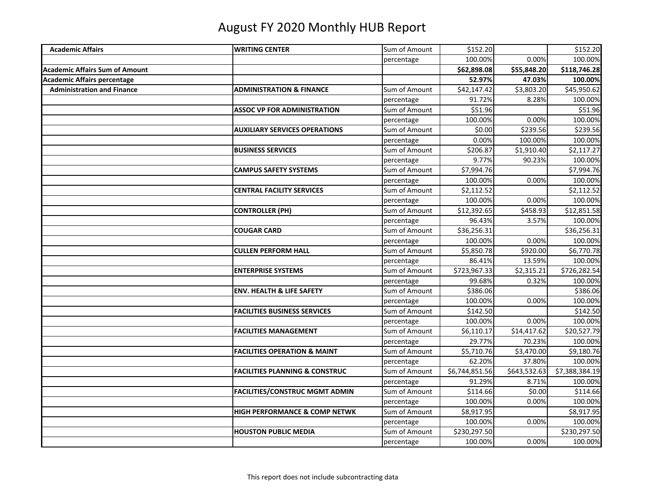| <b>Academic Affairs</b>               | <b>WRITING CENTER</b>                     | Sum of Amount | \$152.20       |              | \$152.20       |
|---------------------------------------|-------------------------------------------|---------------|----------------|--------------|----------------|
|                                       |                                           | percentage    | 100.00%        | 0.00%        | 100.00%        |
| <b>Academic Affairs Sum of Amount</b> |                                           |               | \$62,898.08    | \$55,848.20  | \$118,746.28   |
| <b>Academic Affairs percentage</b>    |                                           |               | 52.97%         | 47.03%       | 100.00%        |
| <b>Administration and Finance</b>     | <b>ADMINISTRATION &amp; FINANCE</b>       | Sum of Amount | \$42,147.42    | \$3,803.20   | \$45,950.62    |
|                                       |                                           | percentage    | 91.72%         | 8.28%        | 100.00%        |
|                                       | <b>ASSOC VP FOR ADMINISTRATION</b>        | Sum of Amount | \$51.96        |              | \$51.96        |
|                                       |                                           | percentage    | 100.00%        | 0.00%        | 100.00%        |
|                                       | <b>AUXILIARY SERVICES OPERATIONS</b>      | Sum of Amount | \$0.00         | \$239.56     | \$239.56       |
|                                       |                                           | percentage    | 0.00%          | 100.00%      | 100.00%        |
|                                       | <b>BUSINESS SERVICES</b>                  | Sum of Amount | \$206.87       | \$1,910.40   | \$2,117.27     |
|                                       |                                           | percentage    | 9.77%          | 90.23%       | 100.00%        |
|                                       | <b>CAMPUS SAFETY SYSTEMS</b>              | Sum of Amount | \$7,994.76     |              | \$7,994.76     |
|                                       |                                           | percentage    | 100.00%        | 0.00%        | 100.00%        |
|                                       | <b>CENTRAL FACILITY SERVICES</b>          | Sum of Amount | \$2,112.52     |              | \$2,112.52     |
|                                       |                                           | percentage    | 100.00%        | 0.00%        | 100.00%        |
|                                       | <b>CONTROLLER (PH)</b>                    | Sum of Amount | \$12,392.65    | \$458.93     | \$12,851.58    |
|                                       |                                           | percentage    | 96.43%         | 3.57%        | 100.00%        |
|                                       | <b>COUGAR CARD</b>                        | Sum of Amount | \$36,256.31    |              | \$36,256.31    |
|                                       |                                           | percentage    | 100.00%        | 0.00%        | 100.00%        |
|                                       | <b>CULLEN PERFORM HALL</b>                | Sum of Amount | \$5,850.78     | \$920.00     | \$6,770.78     |
|                                       |                                           | percentage    | 86.41%         | 13.59%       | 100.00%        |
|                                       | <b>ENTERPRISE SYSTEMS</b>                 | Sum of Amount | \$723,967.33   | \$2,315.21   | \$726,282.54   |
|                                       |                                           | percentage    | 99.68%         | 0.32%        | 100.00%        |
|                                       | <b>ENV. HEALTH &amp; LIFE SAFETY</b>      | Sum of Amount | \$386.06       |              | \$386.06       |
|                                       |                                           | percentage    | 100.00%        | 0.00%        | 100.00%        |
|                                       | <b>FACILITIES BUSINESS SERVICES</b>       | Sum of Amount | \$142.50       |              | \$142.50       |
|                                       |                                           | percentage    | 100.00%        | 0.00%        | 100.00%        |
|                                       | <b>FACILITIES MANAGEMENT</b>              | Sum of Amount | \$6,110.17     | \$14,417.62  | \$20,527.79    |
|                                       |                                           | percentage    | 29.77%         | 70.23%       | 100.00%        |
|                                       | <b>FACILITIES OPERATION &amp; MAINT</b>   | Sum of Amount | \$5,710.76     | \$3,470.00   | \$9,180.76     |
|                                       |                                           | percentage    | 62.20%         | 37.80%       | 100.00%        |
|                                       | <b>FACILITIES PLANNING &amp; CONSTRUC</b> | Sum of Amount | \$6,744,851.56 | \$643,532.63 | \$7,388,384.19 |
|                                       |                                           | percentage    | 91.29%         | 8.71%        | 100.00%        |
|                                       | <b>FACILITIES/CONSTRUC MGMT ADMIN</b>     | Sum of Amount | \$114.66       | \$0.00       | \$114.66       |
|                                       |                                           | percentage    | 100.00%        | 0.00%        | 100.00%        |
|                                       | <b>HIGH PERFORMANCE &amp; COMP NETWK</b>  | Sum of Amount | \$8,917.95     |              | \$8,917.95     |
|                                       |                                           | percentage    | 100.00%        | 0.00%        | 100.00%        |
|                                       | <b>HOUSTON PUBLIC MEDIA</b>               | Sum of Amount | \$230,297.50   |              | \$230,297.50   |
|                                       |                                           | percentage    | 100.00%        | 0.00%        | 100.00%        |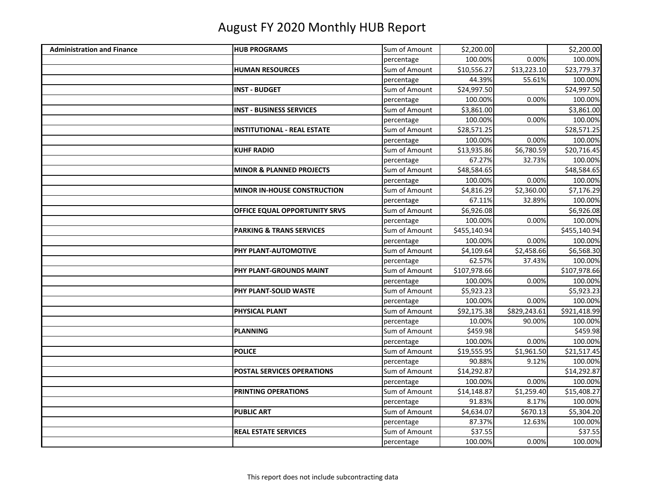| <b>Administration and Finance</b> | <b>HUB PROGRAMS</b>                 | Sum of Amount | \$2,200.00   |              | \$2,200.00   |
|-----------------------------------|-------------------------------------|---------------|--------------|--------------|--------------|
|                                   |                                     | percentage    | 100.00%      | 0.00%        | 100.00%      |
|                                   | <b>HUMAN RESOURCES</b>              | Sum of Amount | \$10,556.27  | \$13,223.10  | \$23,779.37  |
|                                   |                                     | percentage    | 44.39%       | 55.61%       | 100.00%      |
|                                   | <b>INST - BUDGET</b>                | Sum of Amount | \$24,997.50  |              | \$24,997.50  |
|                                   |                                     | percentage    | 100.00%      | 0.00%        | 100.00%      |
|                                   | <b>INST - BUSINESS SERVICES</b>     | Sum of Amount | \$3,861.00   |              | \$3,861.00   |
|                                   |                                     | percentage    | 100.00%      | 0.00%        | 100.00%      |
|                                   | <b>INSTITUTIONAL - REAL ESTATE</b>  | Sum of Amount | \$28,571.25  |              | \$28,571.25  |
|                                   |                                     | percentage    | 100.00%      | 0.00%        | 100.00%      |
|                                   | <b>KUHF RADIO</b>                   | Sum of Amount | \$13,935.86  | \$6,780.59   | \$20,716.45  |
|                                   |                                     | percentage    | 67.27%       | 32.73%       | 100.00%      |
|                                   | <b>MINOR &amp; PLANNED PROJECTS</b> | Sum of Amount | \$48,584.65  |              | \$48,584.65  |
|                                   |                                     | percentage    | 100.00%      | 0.00%        | 100.00%      |
|                                   | <b>MINOR IN-HOUSE CONSTRUCTION</b>  | Sum of Amount | \$4,816.29   | \$2,360.00   | \$7,176.29   |
|                                   |                                     | percentage    | 67.11%       | 32.89%       | 100.00%      |
|                                   | OFFICE EQUAL OPPORTUNITY SRVS       | Sum of Amount | \$6,926.08   |              | \$6,926.08   |
|                                   |                                     | percentage    | 100.00%      | 0.00%        | 100.00%      |
|                                   | <b>PARKING &amp; TRANS SERVICES</b> | Sum of Amount | \$455,140.94 |              | \$455,140.94 |
|                                   |                                     | percentage    | 100.00%      | 0.00%        | 100.00%      |
|                                   | PHY PLANT-AUTOMOTIVE                | Sum of Amount | \$4,109.64   | \$2,458.66   | \$6,568.30   |
|                                   |                                     | percentage    | 62.57%       | 37.43%       | 100.00%      |
|                                   | PHY PLANT-GROUNDS MAINT             | Sum of Amount | \$107,978.66 |              | \$107,978.66 |
|                                   |                                     | percentage    | 100.00%      | 0.00%        | 100.00%      |
|                                   | PHY PLANT-SOLID WASTE               | Sum of Amount | \$5,923.23   |              | \$5,923.23   |
|                                   |                                     | percentage    | 100.00%      | 0.00%        | 100.00%      |
|                                   | PHYSICAL PLANT                      | Sum of Amount | \$92,175.38  | \$829,243.61 | \$921,418.99 |
|                                   |                                     | percentage    | 10.00%       | 90.00%       | 100.00%      |
|                                   | <b>PLANNING</b>                     | Sum of Amount | \$459.98     |              | \$459.98     |
|                                   |                                     | percentage    | 100.00%      | 0.00%        | 100.00%      |
|                                   | <b>POLICE</b>                       | Sum of Amount | \$19,555.95  | \$1,961.50   | \$21,517.45  |
|                                   |                                     | percentage    | 90.88%       | 9.12%        | 100.00%      |
|                                   | POSTAL SERVICES OPERATIONS          | Sum of Amount | \$14,292.87  |              | \$14,292.87  |
|                                   |                                     | percentage    | 100.00%      | 0.00%        | 100.00%      |
|                                   | PRINTING OPERATIONS                 | Sum of Amount | \$14,148.87  | \$1,259.40   | \$15,408.27  |
|                                   |                                     | percentage    | 91.83%       | 8.17%        | 100.00%      |
|                                   | <b>PUBLIC ART</b>                   | Sum of Amount | \$4,634.07   | \$670.13     | \$5,304.20   |
|                                   |                                     | percentage    | 87.37%       | 12.63%       | 100.00%      |
|                                   | <b>REAL ESTATE SERVICES</b>         | Sum of Amount | \$37.55      |              | \$37.55      |
|                                   |                                     | percentage    | 100.00%      | 0.00%        | 100.00%      |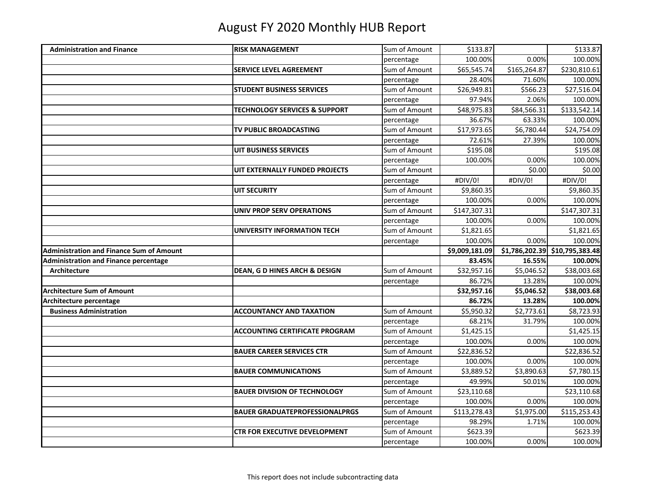| <b>Administration and Finance</b>               | <b>RISK MANAGEMENT</b>                   | Sum of Amount               | \$133.87       |              | \$133.87                       |
|-------------------------------------------------|------------------------------------------|-----------------------------|----------------|--------------|--------------------------------|
|                                                 |                                          | percentage                  | 100.00%        | 0.00%        | 100.00%                        |
|                                                 | <b>SERVICE LEVEL AGREEMENT</b>           | Sum of Amount               | \$65,545.74    | \$165,264.87 | \$230,810.61                   |
|                                                 |                                          | percentage                  | 28.40%         | 71.60%       | 100.00%                        |
|                                                 | <b>STUDENT BUSINESS SERVICES</b>         | Sum of Amount               | \$26,949.81    | \$566.23     | \$27,516.04                    |
|                                                 |                                          | percentage                  | 97.94%         | 2.06%        | 100.00%                        |
|                                                 | <b>TECHNOLOGY SERVICES &amp; SUPPORT</b> | Sum of Amount               | \$48,975.83    | \$84,566.31  | \$133,542.14                   |
|                                                 |                                          | percentage                  | 36.67%         | 63.33%       | 100.00%                        |
|                                                 | TV PUBLIC BROADCASTING                   | Sum of Amount               | \$17,973.65    | \$6,780.44   | \$24,754.09                    |
|                                                 |                                          | percentage                  | 72.61%         | 27.39%       | 100.00%                        |
|                                                 | <b>UIT BUSINESS SERVICES</b>             | Sum of Amount               | \$195.08       |              | \$195.08                       |
|                                                 |                                          | percentage                  | 100.00%        | 0.00%        | 100.00%                        |
|                                                 | UIT EXTERNALLY FUNDED PROJECTS           | Sum of Amount               |                | \$0.00       | \$0.00                         |
|                                                 |                                          | percentage                  | #DIV/0!        | #DIV/0!      | #DIV/0!                        |
|                                                 | <b>UIT SECURITY</b>                      | Sum of Amount               | \$9,860.35     |              | \$9,860.35                     |
|                                                 |                                          | percentage                  | 100.00%        | 0.00%        | 100.00%                        |
|                                                 | <b>UNIV PROP SERV OPERATIONS</b>         | Sum of Amount               | \$147,307.31   |              | \$147,307.31                   |
|                                                 |                                          | percentage                  | 100.00%        | 0.00%        | 100.00%                        |
|                                                 | <b>UNIVERSITY INFORMATION TECH</b>       | Sum of Amount               | \$1,821.65     |              | \$1,821.65                     |
|                                                 |                                          | percentage                  | 100.00%        | 0.00%        | 100.00%                        |
|                                                 |                                          |                             |                |              |                                |
| <b>Administration and Finance Sum of Amount</b> |                                          |                             | \$9,009,181.09 |              | \$1,786,202.39 \$10,795,383.48 |
| <b>Administration and Finance percentage</b>    |                                          |                             | 83.45%         | 16.55%       | 100.00%                        |
| Architecture                                    | <b>DEAN, G D HINES ARCH &amp; DESIGN</b> | Sum of Amount               | \$32,957.16    | \$5,046.52   | \$38,003.68                    |
|                                                 |                                          | percentage                  | 86.72%         | 13.28%       | 100.00%                        |
| <b>Architecture Sum of Amount</b>               |                                          |                             | \$32,957.16    | \$5,046.52   | \$38,003.68                    |
| Architecture percentage                         |                                          |                             | 86.72%         | 13.28%       | 100.00%                        |
| <b>Business Administration</b>                  | <b>ACCOUNTANCY AND TAXATION</b>          | Sum of Amount               | \$5,950.32     | \$2,773.61   | \$8,723.93                     |
|                                                 |                                          | percentage                  | 68.21%         | 31.79%       | 100.00%                        |
|                                                 | <b>ACCOUNTING CERTIFICATE PROGRAM</b>    | Sum of Amount               | \$1,425.15     |              | \$1,425.15                     |
|                                                 |                                          | percentage                  | 100.00%        | 0.00%        | 100.00%                        |
|                                                 | <b>BAUER CAREER SERVICES CTR</b>         | Sum of Amount               | \$22,836.52    |              | \$22,836.52                    |
|                                                 |                                          | percentage                  | 100.00%        | 0.00%        | 100.00%                        |
|                                                 | <b>BAUER COMMUNICATIONS</b>              | Sum of Amount               | \$3,889.52     | \$3,890.63   | \$7,780.15                     |
|                                                 |                                          | percentage                  | 49.99%         | 50.01%       | 100.00%                        |
|                                                 | <b>BAUER DIVISION OF TECHNOLOGY</b>      | Sum of Amount               | \$23,110.68    |              | \$23,110.68                    |
|                                                 |                                          | percentage                  | 100.00%        | 0.00%        | 100.00%                        |
|                                                 | <b>BAUER GRADUATEPROFESSIONALPRGS</b>    | Sum of Amount               | \$113,278.43   | \$1,975.00   | \$115,253.43                   |
|                                                 |                                          | percentage                  | 98.29%         | 1.71%        | 100.00%                        |
|                                                 | <b>CTR FOR EXECUTIVE DEVELOPMENT</b>     | Sum of Amount<br>percentage | \$623.39       | 0.00%        | \$623.39<br>100.00%            |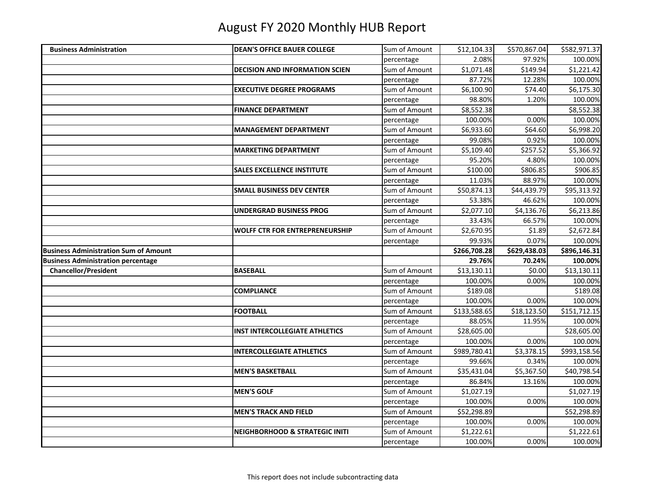| <b>Business Administration</b>               | <b>DEAN'S OFFICE BAUER COLLEGE</b>        | Sum of Amount | \$12,104.33            | \$570,867.04 | \$582,971.37          |
|----------------------------------------------|-------------------------------------------|---------------|------------------------|--------------|-----------------------|
|                                              |                                           | percentage    | 2.08%                  | 97.92%       | 100.00%               |
|                                              | <b>DECISION AND INFORMATION SCIEN</b>     | Sum of Amount | \$1,071.48             | \$149.94     | \$1,221.42            |
|                                              |                                           | percentage    | 87.72%                 | 12.28%       | 100.00%               |
|                                              | <b>EXECUTIVE DEGREE PROGRAMS</b>          | Sum of Amount | $\overline{$6,100.90}$ | \$74.40      | \$6,175.30            |
|                                              |                                           | percentage    | 98.80%                 | 1.20%        | 100.00%               |
|                                              | <b>FINANCE DEPARTMENT</b>                 | Sum of Amount | \$8,552.38             |              | \$8,552.38            |
|                                              |                                           | percentage    | 100.00%                | 0.00%        | 100.00%               |
|                                              | <b>MANAGEMENT DEPARTMENT</b>              | Sum of Amount | \$6,933.60             | \$64.60      | \$6,998.20            |
|                                              |                                           | percentage    | 99.08%                 | 0.92%        | 100.00%               |
|                                              | <b>MARKETING DEPARTMENT</b>               | Sum of Amount | \$5,109.40             | \$257.52     | \$5,366.92            |
|                                              |                                           | percentage    | 95.20%                 | 4.80%        | 100.00%               |
|                                              | <b>SALES EXCELLENCE INSTITUTE</b>         | Sum of Amount | \$100.00               | \$806.85     | \$906.85              |
|                                              |                                           | percentage    | 11.03%                 | 88.97%       | 100.00%               |
|                                              | <b>SMALL BUSINESS DEV CENTER</b>          | Sum of Amount | \$50,874.13            | \$44,439.79  | \$95,313.92           |
|                                              |                                           | percentage    | 53.38%                 | 46.62%       | 100.00%               |
|                                              | <b>UNDERGRAD BUSINESS PROG</b>            | Sum of Amount | \$2,077.10             | \$4,136.76   | \$6,213.86            |
|                                              |                                           | percentage    | 33.43%                 | 66.57%       | 100.00%               |
|                                              | <b>WOLFF CTR FOR ENTREPRENEURSHIP</b>     | Sum of Amount | \$2,670.95             | \$1.89       | \$2,672.84            |
|                                              |                                           | percentage    | 99.93%                 | 0.07%        | 100.00%               |
|                                              |                                           |               |                        |              |                       |
| <b>Business Administration Sum of Amount</b> |                                           |               | \$266,708.28           | \$629,438.03 | \$896,146.31          |
| <b>Business Administration percentage</b>    |                                           |               | 29.76%                 | 70.24%       | 100.00%               |
| <b>Chancellor/President</b>                  | <b>BASEBALL</b>                           | Sum of Amount | \$13,130.11            | \$0.00       | \$13,130.11           |
|                                              |                                           | percentage    | 100.00%                | 0.00%        | 100.00%               |
|                                              | <b>COMPLIANCE</b>                         | Sum of Amount | \$189.08               |              | \$189.08              |
|                                              |                                           | percentage    | 100.00%                | 0.00%        | 100.00%               |
|                                              | <b>FOOTBALL</b>                           | Sum of Amount | \$133,588.65           | \$18,123.50  | \$151,712.15          |
|                                              |                                           | percentage    | 88.05%                 | 11.95%       | 100.00%               |
|                                              | <b>INST INTERCOLLEGIATE ATHLETICS</b>     | Sum of Amount | \$28,605.00            |              | \$28,605.00           |
|                                              |                                           | percentage    | 100.00%                | 0.00%        | 100.00%               |
|                                              | <b>INTERCOLLEGIATE ATHLETICS</b>          | Sum of Amount | \$989,780.41           | \$3,378.15   | \$993,158.56          |
|                                              |                                           | percentage    | 99.66%                 | 0.34%        | 100.00%               |
|                                              | <b>MEN'S BASKETBALL</b>                   | Sum of Amount | \$35,431.04            | \$5,367.50   | \$40,798.54           |
|                                              |                                           | percentage    | 86.84%                 | 13.16%       | 100.00%               |
|                                              | <b>MEN'S GOLF</b>                         | Sum of Amount | \$1,027.19             |              | \$1,027.19            |
|                                              |                                           | percentage    | 100.00%                | 0.00%        | 100.00%               |
|                                              | <b>MEN'S TRACK AND FIELD</b>              | Sum of Amount | \$52,298.89            |              | \$52,298.89           |
|                                              |                                           | percentage    | 100.00%                | 0.00%        | 100.00%               |
|                                              | <b>NEIGHBORHOOD &amp; STRATEGIC INITI</b> | Sum of Amount | \$1,222.61<br>100.00%  | 0.00%        | \$1,222.61<br>100.00% |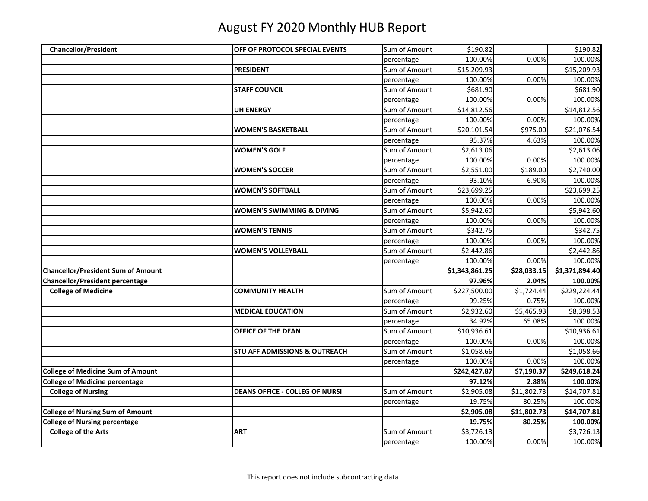| <b>Chancellor/President</b>               | OFF OF PROTOCOL SPECIAL EVENTS           | Sum of Amount | \$190.82              |             | \$190.82              |
|-------------------------------------------|------------------------------------------|---------------|-----------------------|-------------|-----------------------|
|                                           |                                          | percentage    | 100.00%               | 0.00%       | 100.00%               |
|                                           | <b>PRESIDENT</b>                         | Sum of Amount | \$15,209.93           |             | \$15,209.93           |
|                                           |                                          | percentage    | 100.00%               | 0.00%       | 100.00%               |
|                                           | <b>STAFF COUNCIL</b>                     | Sum of Amount | \$681.90              |             | \$681.90              |
|                                           |                                          | percentage    | 100.00%               | 0.00%       | 100.00%               |
|                                           | <b>UH ENERGY</b>                         | Sum of Amount | \$14,812.56           |             | \$14,812.56           |
|                                           |                                          | percentage    | 100.00%               | 0.00%       | 100.00%               |
|                                           | <b>WOMEN'S BASKETBALL</b>                | Sum of Amount | \$20,101.54           | \$975.00    | \$21,076.54           |
|                                           |                                          | percentage    | 95.37%                | 4.63%       | 100.00%               |
|                                           | <b>WOMEN'S GOLF</b>                      | Sum of Amount | \$2,613.06            |             | \$2,613.06            |
|                                           |                                          | percentage    | 100.00%               | 0.00%       | 100.00%               |
|                                           | <b>WOMEN'S SOCCER</b>                    | Sum of Amount | \$2,551.00            | \$189.00    | \$2,740.00            |
|                                           |                                          | percentage    | 93.10%                | 6.90%       | 100.00%               |
|                                           | <b>WOMEN'S SOFTBALL</b>                  | Sum of Amount | \$23,699.25           |             | \$23,699.25           |
|                                           |                                          | percentage    | 100.00%               | 0.00%       | 100.00%               |
|                                           | <b>WOMEN'S SWIMMING &amp; DIVING</b>     | Sum of Amount | \$5,942.60            |             | \$5,942.60            |
|                                           |                                          | percentage    | 100.00%               | 0.00%       | 100.00%               |
|                                           | <b>WOMEN'S TENNIS</b>                    | Sum of Amount | \$342.75              |             | \$342.75              |
|                                           |                                          | percentage    | 100.00%               | 0.00%       | 100.00%               |
|                                           | <b>WOMEN'S VOLLEYBALL</b>                | Sum of Amount | \$2,442.86            |             | \$2,442.86            |
|                                           |                                          | percentage    | 100.00%               | 0.00%       | 100.00%               |
| <b>Chancellor/President Sum of Amount</b> |                                          |               | \$1,343,861.25        | \$28,033.15 | \$1,371,894.40        |
| <b>Chancellor/President percentage</b>    |                                          |               | 97.96%                | 2.04%       | 100.00%               |
| <b>College of Medicine</b>                | <b>COMMUNITY HEALTH</b>                  |               |                       |             |                       |
|                                           |                                          | Sum of Amount | \$227,500.00          | \$1,724.44  | \$229,224.44          |
|                                           |                                          | percentage    | 99.25%                | 0.75%       | 100.00%               |
|                                           | <b>MEDICAL EDUCATION</b>                 | Sum of Amount | \$2,932.60            | \$5,465.93  | \$8,398.53            |
|                                           |                                          | percentage    | 34.92%                | 65.08%      | 100.00%               |
|                                           | OFFICE OF THE DEAN                       | Sum of Amount | \$10,936.61           |             | \$10,936.61           |
|                                           |                                          | percentage    | 100.00%               | 0.00%       | 100.00%               |
|                                           | <b>STU AFF ADMISSIONS &amp; OUTREACH</b> | Sum of Amount | \$1,058.66            |             | \$1,058.66            |
|                                           |                                          | percentage    | 100.00%               | 0.00%       | 100.00%               |
| <b>College of Medicine Sum of Amount</b>  |                                          |               | \$242,427.87          | \$7,190.37  | \$249,618.24          |
| <b>College of Medicine percentage</b>     |                                          |               | 97.12%                | 2.88%       | 100.00%               |
| <b>College of Nursing</b>                 | <b>DEANS OFFICE - COLLEG OF NURSI</b>    | Sum of Amount | \$2,905.08            | \$11,802.73 | \$14,707.81           |
|                                           |                                          | percentage    | 19.75%                | 80.25%      | 100.00%               |
| <b>College of Nursing Sum of Amount</b>   |                                          |               | \$2,905.08            | \$11,802.73 | \$14,707.81           |
| <b>College of Nursing percentage</b>      |                                          |               | 19.75%                | 80.25%      | 100.00%               |
| <b>College of the Arts</b>                | <b>ART</b>                               | Sum of Amount | \$3,726.13<br>100.00% | 0.00%       | \$3,726.13<br>100.00% |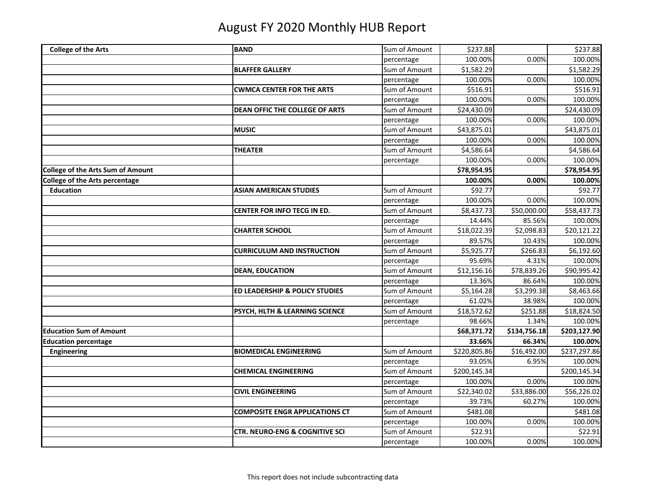| <b>College of the Arts</b>            | <b>BAND</b>                               | Sum of Amount | \$237.88     |              | \$237.88     |
|---------------------------------------|-------------------------------------------|---------------|--------------|--------------|--------------|
|                                       |                                           | percentage    | 100.00%      | 0.00%        | 100.00%      |
|                                       | <b>BLAFFER GALLERY</b>                    | Sum of Amount | \$1,582.29   |              | \$1,582.29   |
|                                       |                                           | percentage    | 100.00%      | 0.00%        | 100.00%      |
|                                       | <b>CWMCA CENTER FOR THE ARTS</b>          | Sum of Amount | \$516.91     |              | \$516.91     |
|                                       |                                           | percentage    | 100.00%      | 0.00%        | 100.00%      |
|                                       | DEAN OFFIC THE COLLEGE OF ARTS            | Sum of Amount | \$24,430.09  |              | \$24,430.09  |
|                                       |                                           | percentage    | 100.00%      | 0.00%        | 100.00%      |
|                                       | <b>MUSIC</b>                              | Sum of Amount | \$43,875.01  |              | \$43,875.01  |
|                                       |                                           | percentage    | 100.00%      | 0.00%        | 100.00%      |
|                                       | <b>THEATER</b>                            | Sum of Amount | \$4,586.64   |              | \$4,586.64   |
|                                       |                                           | percentage    | 100.00%      | 0.00%        | 100.00%      |
| College of the Arts Sum of Amount     |                                           |               | \$78,954.95  |              | \$78,954.95  |
| <b>College of the Arts percentage</b> |                                           |               | 100.00%      | 0.00%        | 100.00%      |
| <b>Education</b>                      | <b>ASIAN AMERICAN STUDIES</b>             | Sum of Amount | \$92.77      |              | \$92.77      |
|                                       |                                           | percentage    | 100.00%      | 0.00%        | 100.00%      |
|                                       | <b>CENTER FOR INFO TECG IN ED.</b>        | Sum of Amount | \$8,437.73   | \$50,000.00  | \$58,437.73  |
|                                       |                                           | percentage    | 14.44%       | 85.56%       | 100.00%      |
|                                       | <b>CHARTER SCHOOL</b>                     | Sum of Amount | \$18,022.39  | \$2,098.83   | \$20,121.22  |
|                                       |                                           | percentage    | 89.57%       | 10.43%       | 100.00%      |
|                                       | <b>CURRICULUM AND INSTRUCTION</b>         | Sum of Amount | \$5,925.77   | \$266.83     | \$6,192.60   |
|                                       |                                           | percentage    | 95.69%       | 4.31%        | 100.00%      |
|                                       | <b>DEAN, EDUCATION</b>                    | Sum of Amount | \$12,156.16  | \$78,839.26  | \$90,995.42  |
|                                       |                                           | percentage    | 13.36%       | 86.64%       | 100.00%      |
|                                       | <b>ED LEADERSHIP &amp; POLICY STUDIES</b> | Sum of Amount | \$5,164.28   | \$3,299.38   | \$8,463.66   |
|                                       |                                           | percentage    | 61.02%       | 38.98%       | 100.00%      |
|                                       | PSYCH, HLTH & LEARNING SCIENCE            | Sum of Amount | \$18,572.62  | \$251.88     | \$18,824.50  |
|                                       |                                           | percentage    | 98.66%       | 1.34%        | 100.00%      |
| <b>Education Sum of Amount</b>        |                                           |               | \$68,371.72  | \$134,756.18 | \$203,127.90 |
| <b>Education percentage</b>           |                                           |               | 33.66%       | 66.34%       | 100.00%      |
| <b>Engineering</b>                    | <b>BIOMEDICAL ENGINEERING</b>             | Sum of Amount | \$220,805.86 | \$16,492.00  | \$237,297.86 |
|                                       |                                           | percentage    | 93.05%       | 6.95%        | 100.00%      |
|                                       | <b>CHEMICAL ENGINEERING</b>               | Sum of Amount | \$200,145.34 |              | \$200,145.34 |
|                                       |                                           | percentage    | 100.00%      | 0.00%        | 100.00%      |
|                                       | <b>CIVIL ENGINEERING</b>                  | Sum of Amount | \$22,340.02  | \$33,886.00  | \$56,226.02  |
|                                       |                                           | percentage    | 39.73%       | 60.27%       | 100.00%      |
|                                       | <b>COMPOSITE ENGR APPLICATIONS CT</b>     | Sum of Amount | \$481.08     |              | \$481.08     |
|                                       |                                           | percentage    | 100.00%      | 0.00%        | 100.00%      |
|                                       | <b>CTR. NEURO-ENG &amp; COGNITIVE SCI</b> | Sum of Amount | \$22.91      |              | \$22.91      |
|                                       |                                           | percentage    | 100.00%      | 0.00%        | 100.00%      |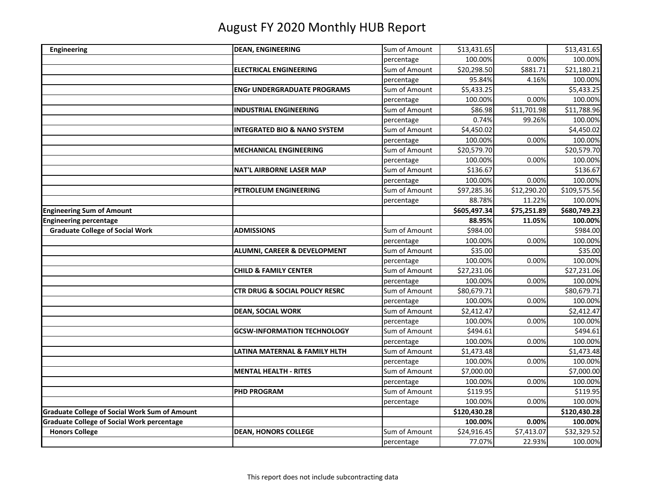| <b>Engineering</b>                                   | <b>DEAN, ENGINEERING</b>                  | Sum of Amount | \$13,431.65  |             | \$13,431.65  |
|------------------------------------------------------|-------------------------------------------|---------------|--------------|-------------|--------------|
|                                                      |                                           | percentage    | 100.00%      | 0.00%       | 100.00%      |
|                                                      | <b>ELECTRICAL ENGINEERING</b>             | Sum of Amount | \$20,298.50  | \$881.71    | \$21,180.21  |
|                                                      |                                           | percentage    | 95.84%       | 4.16%       | 100.00%      |
|                                                      | <b>ENGr UNDERGRADUATE PROGRAMS</b>        | Sum of Amount | \$5,433.25   |             | \$5,433.25   |
|                                                      |                                           | percentage    | 100.00%      | 0.00%       | 100.00%      |
|                                                      | <b>INDUSTRIAL ENGINEERING</b>             | Sum of Amount | \$86.98      | \$11,701.98 | \$11,788.96  |
|                                                      |                                           | percentage    | 0.74%        | 99.26%      | 100.00%      |
|                                                      | <b>INTEGRATED BIO &amp; NANO SYSTEM</b>   | Sum of Amount | \$4,450.02   |             | \$4,450.02   |
|                                                      |                                           | percentage    | 100.00%      | 0.00%       | 100.00%      |
|                                                      | <b>MECHANICAL ENGINEERING</b>             | Sum of Amount | \$20,579.70  |             | \$20,579.70  |
|                                                      |                                           | percentage    | 100.00%      | 0.00%       | 100.00%      |
|                                                      | <b>NAT'L AIRBORNE LASER MAP</b>           | Sum of Amount | \$136.67     |             | \$136.67     |
|                                                      |                                           | percentage    | 100.00%      | 0.00%       | 100.00%      |
|                                                      | PETROLEUM ENGINEERING                     | Sum of Amount | \$97,285.36  | \$12,290.20 | \$109,575.56 |
|                                                      |                                           | percentage    | 88.78%       | 11.22%      | 100.00%      |
| <b>Engineering Sum of Amount</b>                     |                                           |               | \$605,497.34 | \$75,251.89 | \$680,749.23 |
| <b>Engineering percentage</b>                        |                                           |               | 88.95%       | 11.05%      | 100.00%      |
| <b>Graduate College of Social Work</b>               | <b>ADMISSIONS</b>                         | Sum of Amount | \$984.00     |             | \$984.00     |
|                                                      |                                           | percentage    | 100.00%      | 0.00%       | 100.00%      |
|                                                      | ALUMNI, CAREER & DEVELOPMENT              | Sum of Amount | \$35.00      |             | \$35.00      |
|                                                      |                                           | percentage    | 100.00%      | 0.00%       | 100.00%      |
|                                                      | <b>CHILD &amp; FAMILY CENTER</b>          | Sum of Amount | \$27,231.06  |             | \$27,231.06  |
|                                                      |                                           | percentage    | 100.00%      | 0.00%       | 100.00%      |
|                                                      | <b>CTR DRUG &amp; SOCIAL POLICY RESRC</b> | Sum of Amount | \$80,679.71  |             | \$80,679.71  |
|                                                      |                                           | percentage    | 100.00%      | 0.00%       | 100.00%      |
|                                                      | <b>DEAN, SOCIAL WORK</b>                  | Sum of Amount | \$2,412.47   |             | \$2,412.47   |
|                                                      |                                           | percentage    | 100.00%      | 0.00%       | 100.00%      |
|                                                      | <b>GCSW-INFORMATION TECHNOLOGY</b>        | Sum of Amount | \$494.61     |             | \$494.61     |
|                                                      |                                           | percentage    | 100.00%      | 0.00%       | 100.00%      |
|                                                      | LATINA MATERNAL & FAMILY HLTH             | Sum of Amount | \$1,473.48   |             | \$1,473.48   |
|                                                      |                                           | percentage    | 100.00%      | 0.00%       | 100.00%      |
|                                                      | <b>MENTAL HEALTH - RITES</b>              | Sum of Amount | \$7,000.00   |             | \$7,000.00   |
|                                                      |                                           | percentage    | 100.00%      | 0.00%       | 100.00%      |
|                                                      | <b>PHD PROGRAM</b>                        | Sum of Amount | \$119.95     |             | \$119.95     |
|                                                      |                                           | percentage    | 100.00%      | 0.00%       | 100.00%      |
| <b>Graduate College of Social Work Sum of Amount</b> |                                           |               | \$120,430.28 |             | \$120,430.28 |
| <b>Graduate College of Social Work percentage</b>    |                                           |               | 100.00%      | 0.00%       | 100.00%      |
| <b>Honors College</b>                                | <b>DEAN, HONORS COLLEGE</b>               | Sum of Amount | \$24,916.45  | \$7,413.07  | \$32,329.52  |
|                                                      |                                           | percentage    | 77.07%       | 22.93%      | 100.00%      |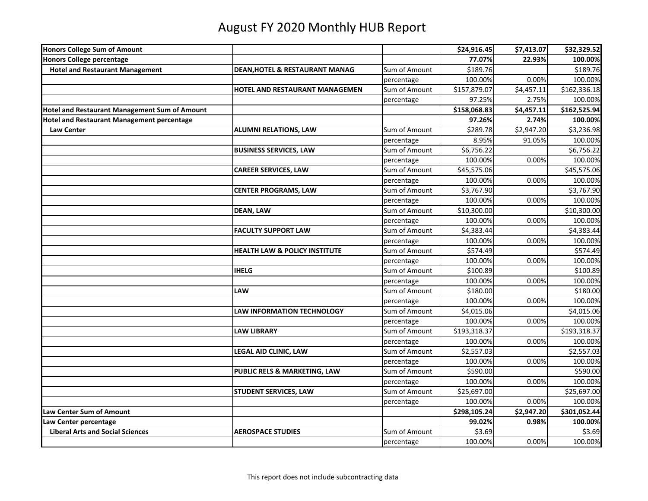| <b>Honors College Sum of Amount</b>                  |                                           |               | \$24,916.45  | \$7,413.07 | \$32,329.52  |
|------------------------------------------------------|-------------------------------------------|---------------|--------------|------------|--------------|
| <b>Honors College percentage</b>                     |                                           |               | 77.07%       | 22.93%     | 100.00%      |
| <b>Hotel and Restaurant Management</b>               | <b>DEAN, HOTEL &amp; RESTAURANT MANAG</b> | Sum of Amount | \$189.76     |            | \$189.76     |
|                                                      |                                           | percentage    | 100.00%      | 0.00%      | 100.00%      |
|                                                      | HOTEL AND RESTAURANT MANAGEMEN            | Sum of Amount | \$157,879.07 | \$4,457.11 | \$162,336.18 |
|                                                      |                                           | percentage    | 97.25%       | 2.75%      | 100.00%      |
| <b>Hotel and Restaurant Management Sum of Amount</b> |                                           |               | \$158,068.83 | \$4,457.11 | \$162,525.94 |
| <b>Hotel and Restaurant Management percentage</b>    |                                           |               | 97.26%       | 2.74%      | 100.00%      |
| <b>Law Center</b>                                    | <b>ALUMNI RELATIONS, LAW</b>              | Sum of Amount | \$289.78     | \$2,947.20 | \$3,236.98   |
|                                                      |                                           | percentage    | 8.95%        | 91.05%     | 100.00%      |
|                                                      | <b>BUSINESS SERVICES, LAW</b>             | Sum of Amount | \$6,756.22   |            | \$6,756.22   |
|                                                      |                                           | percentage    | 100.00%      | 0.00%      | 100.00%      |
|                                                      | <b>CAREER SERVICES, LAW</b>               | Sum of Amount | \$45,575.06  |            | \$45,575.06  |
|                                                      |                                           | percentage    | 100.00%      | 0.00%      | 100.00%      |
|                                                      | <b>CENTER PROGRAMS, LAW</b>               | Sum of Amount | \$3,767.90   |            | \$3,767.90   |
|                                                      |                                           | percentage    | 100.00%      | 0.00%      | 100.00%      |
|                                                      | <b>DEAN, LAW</b>                          | Sum of Amount | \$10,300.00  |            | \$10,300.00  |
|                                                      |                                           | percentage    | 100.00%      | 0.00%      | 100.00%      |
|                                                      | <b>FACULTY SUPPORT LAW</b>                | Sum of Amount | \$4,383.44   |            | \$4,383.44   |
|                                                      |                                           | percentage    | 100.00%      | 0.00%      | 100.00%      |
|                                                      | <b>HEALTH LAW &amp; POLICY INSTITUTE</b>  | Sum of Amount | \$574.49     |            | \$574.49     |
|                                                      |                                           | percentage    | 100.00%      | 0.00%      | 100.00%      |
|                                                      | <b>IHELG</b>                              | Sum of Amount | \$100.89     |            | \$100.89     |
|                                                      |                                           | percentage    | 100.00%      | 0.00%      | 100.00%      |
|                                                      | LAW                                       | Sum of Amount | \$180.00     |            | \$180.00     |
|                                                      |                                           | percentage    | 100.00%      | 0.00%      | 100.00%      |
|                                                      | <b>LAW INFORMATION TECHNOLOGY</b>         | Sum of Amount | \$4,015.06   |            | \$4,015.06   |
|                                                      |                                           | percentage    | 100.00%      | 0.00%      | 100.00%      |
|                                                      | <b>LAW LIBRARY</b>                        | Sum of Amount | \$193,318.37 |            | \$193,318.37 |
|                                                      |                                           | percentage    | 100.00%      | 0.00%      | 100.00%      |
|                                                      | <b>LEGAL AID CLINIC, LAW</b>              | Sum of Amount | \$2,557.03   |            | \$2,557.03   |
|                                                      |                                           | percentage    | 100.00%      | 0.00%      | 100.00%      |
|                                                      | PUBLIC RELS & MARKETING, LAW              | Sum of Amount | \$590.00     |            | \$590.00     |
|                                                      |                                           | percentage    | 100.00%      | 0.00%      | 100.00%      |
|                                                      | <b>STUDENT SERVICES, LAW</b>              | Sum of Amount | \$25,697.00  |            | \$25,697.00  |
|                                                      |                                           | percentage    | 100.00%      | 0.00%      | 100.00%      |
| <b>Law Center Sum of Amount</b>                      |                                           |               | \$298,105.24 | \$2,947.20 | \$301,052.44 |
| Law Center percentage                                |                                           |               | 99.02%       | 0.98%      | 100.00%      |
| <b>Liberal Arts and Social Sciences</b>              | <b>AEROSPACE STUDIES</b>                  | Sum of Amount | \$3.69       |            | \$3.69       |
|                                                      |                                           | percentage    | 100.00%      | 0.00%      | 100.00%      |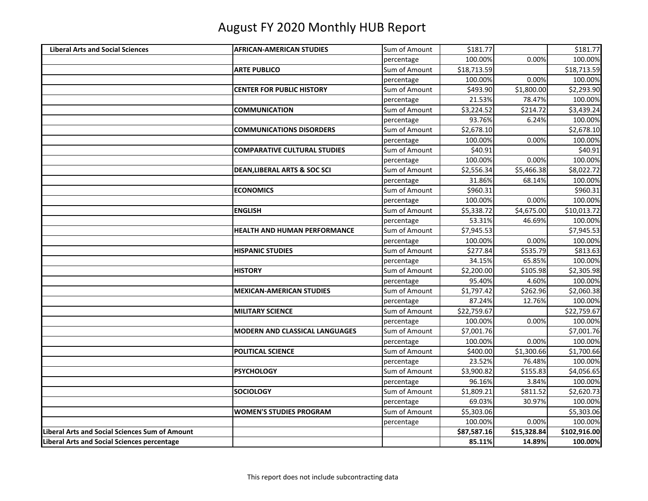| <b>Liberal Arts and Social Sciences</b>            | <b>AFRICAN-AMERICAN STUDIES</b>         | Sum of Amount | \$181.77    |             | \$181.77     |
|----------------------------------------------------|-----------------------------------------|---------------|-------------|-------------|--------------|
|                                                    |                                         | percentage    | 100.00%     | 0.00%       | 100.00%      |
|                                                    | <b>ARTE PUBLICO</b>                     | Sum of Amount | \$18,713.59 |             | \$18,713.59  |
|                                                    |                                         | percentage    | 100.00%     | 0.00%       | 100.00%      |
|                                                    | <b>CENTER FOR PUBLIC HISTORY</b>        | Sum of Amount | \$493.90    | \$1,800.00  | \$2,293.90   |
|                                                    |                                         | percentage    | 21.53%      | 78.47%      | 100.00%      |
|                                                    | <b>COMMUNICATION</b>                    | Sum of Amount | \$3,224.52  | \$214.72    | \$3,439.24   |
|                                                    |                                         | percentage    | 93.76%      | 6.24%       | 100.00%      |
|                                                    | <b>COMMUNICATIONS DISORDERS</b>         | Sum of Amount | \$2,678.10  |             | \$2,678.10   |
|                                                    |                                         | percentage    | 100.00%     | 0.00%       | 100.00%      |
|                                                    | <b>COMPARATIVE CULTURAL STUDIES</b>     | Sum of Amount | \$40.91     |             | \$40.91      |
|                                                    |                                         | percentage    | 100.00%     | 0.00%       | 100.00%      |
|                                                    | <b>DEAN, LIBERAL ARTS &amp; SOC SCI</b> | Sum of Amount | \$2,556.34  | \$5,466.38  | \$8,022.72   |
|                                                    |                                         | percentage    | 31.86%      | 68.14%      | 100.00%      |
|                                                    | <b>ECONOMICS</b>                        | Sum of Amount | \$960.31    |             | \$960.31     |
|                                                    |                                         | percentage    | 100.00%     | 0.00%       | 100.00%      |
|                                                    | <b>ENGLISH</b>                          | Sum of Amount | \$5,338.72  | \$4,675.00  | \$10,013.72  |
|                                                    |                                         | percentage    | 53.31%      | 46.69%      | 100.00%      |
|                                                    | <b>HEALTH AND HUMAN PERFORMANCE</b>     | Sum of Amount | \$7,945.53  |             | \$7,945.53   |
|                                                    |                                         | percentage    | 100.00%     | 0.00%       | 100.00%      |
|                                                    | <b>HISPANIC STUDIES</b>                 | Sum of Amount | \$277.84    | \$535.79    | \$813.63     |
|                                                    |                                         | percentage    | 34.15%      | 65.85%      | 100.00%      |
|                                                    | <b>HISTORY</b>                          | Sum of Amount | \$2,200.00  | \$105.98    | \$2,305.98   |
|                                                    |                                         | percentage    | 95.40%      | 4.60%       | 100.00%      |
|                                                    | <b>MEXICAN-AMERICAN STUDIES</b>         | Sum of Amount | \$1,797.42  | \$262.96    | \$2,060.38   |
|                                                    |                                         | percentage    | 87.24%      | 12.76%      | 100.00%      |
|                                                    | <b>MILITARY SCIENCE</b>                 | Sum of Amount | \$22,759.67 |             | \$22,759.67  |
|                                                    |                                         | percentage    | 100.00%     | 0.00%       | 100.00%      |
|                                                    | <b>MODERN AND CLASSICAL LANGUAGES</b>   | Sum of Amount | \$7,001.76  |             | \$7,001.76   |
|                                                    |                                         | percentage    | 100.00%     | 0.00%       | 100.00%      |
|                                                    | POLITICAL SCIENCE                       | Sum of Amount | \$400.00    | \$1,300.66  | \$1,700.66   |
|                                                    |                                         | percentage    | 23.52%      | 76.48%      | 100.00%      |
|                                                    | <b>PSYCHOLOGY</b>                       | Sum of Amount | \$3,900.82  | \$155.83    | \$4,056.65   |
|                                                    |                                         | percentage    | 96.16%      | 3.84%       | 100.00%      |
|                                                    | <b>SOCIOLOGY</b>                        | Sum of Amount | \$1,809.21  | \$811.52    | \$2,620.73   |
|                                                    |                                         | percentage    | 69.03%      | 30.97%      | 100.00%      |
|                                                    | <b>WOMEN'S STUDIES PROGRAM</b>          | Sum of Amount | \$5,303.06  |             | \$5,303.06   |
|                                                    |                                         | percentage    | 100.00%     | 0.00%       | 100.00%      |
| Liberal Arts and Social Sciences Sum of Amount     |                                         |               | \$87,587.16 | \$15,328.84 | \$102,916.00 |
| <b>Liberal Arts and Social Sciences percentage</b> |                                         |               | 85.11%      | 14.89%      | 100.00%      |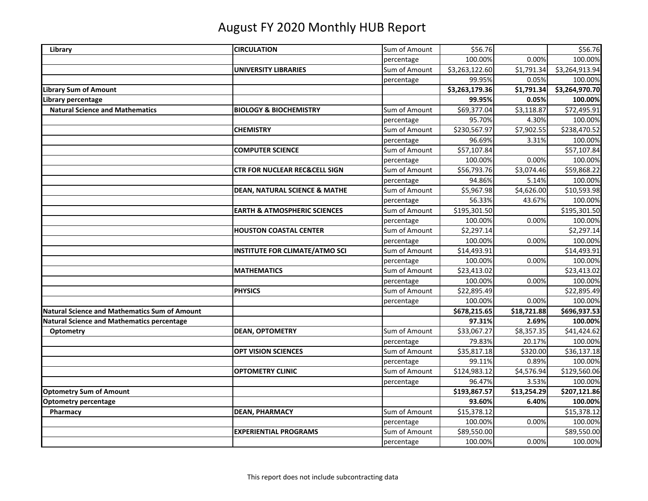| Library                                              | <b>CIRCULATION</b>                       | Sum of Amount | \$56.76        |             | \$56.76        |
|------------------------------------------------------|------------------------------------------|---------------|----------------|-------------|----------------|
|                                                      |                                          | percentage    | 100.00%        | 0.00%       | 100.00%        |
|                                                      | <b>UNIVERSITY LIBRARIES</b>              | Sum of Amount | \$3,263,122.60 | \$1,791.34  | \$3,264,913.94 |
|                                                      |                                          | percentage    | 99.95%         | 0.05%       | 100.00%        |
| <b>Library Sum of Amount</b>                         |                                          |               | \$3,263,179.36 | \$1,791.34  | \$3,264,970.70 |
| Library percentage                                   |                                          |               | 99.95%         | 0.05%       | 100.00%        |
| <b>Natural Science and Mathematics</b>               | <b>BIOLOGY &amp; BIOCHEMISTRY</b>        | Sum of Amount | \$69,377.04    | \$3,118.87  | \$72,495.91    |
|                                                      |                                          | percentage    | 95.70%         | 4.30%       | 100.00%        |
|                                                      | <b>CHEMISTRY</b>                         | Sum of Amount | \$230,567.97   | \$7,902.55  | \$238,470.52   |
|                                                      |                                          | percentage    | 96.69%         | 3.31%       | 100.00%        |
|                                                      | <b>COMPUTER SCIENCE</b>                  | Sum of Amount | \$57,107.84    |             | \$57,107.84    |
|                                                      |                                          | percentage    | 100.00%        | 0.00%       | 100.00%        |
|                                                      | <b>CTR FOR NUCLEAR REC&amp;CELL SIGN</b> | Sum of Amount | \$56,793.76    | \$3,074.46  | \$59,868.22    |
|                                                      |                                          | percentage    | 94.86%         | 5.14%       | 100.00%        |
|                                                      | <b>DEAN, NATURAL SCIENCE &amp; MATHE</b> | Sum of Amount | \$5,967.98     | \$4,626.00  | \$10,593.98    |
|                                                      |                                          | percentage    | 56.33%         | 43.67%      | 100.00%        |
|                                                      | <b>EARTH &amp; ATMOSPHERIC SCIENCES</b>  | Sum of Amount | \$195,301.50   |             | \$195,301.50   |
|                                                      |                                          | percentage    | 100.00%        | 0.00%       | 100.00%        |
|                                                      | <b>HOUSTON COASTAL CENTER</b>            | Sum of Amount | \$2,297.14     |             | \$2,297.14     |
|                                                      |                                          | percentage    | 100.00%        | 0.00%       | 100.00%        |
|                                                      | INSTITUTE FOR CLIMATE/ATMO SCI           | Sum of Amount | \$14,493.91    |             | \$14,493.91    |
|                                                      |                                          | percentage    | 100.00%        | 0.00%       | 100.00%        |
|                                                      | <b>MATHEMATICS</b>                       | Sum of Amount | \$23,413.02    |             | \$23,413.02    |
|                                                      |                                          | percentage    | 100.00%        | 0.00%       | 100.00%        |
|                                                      | <b>PHYSICS</b>                           | Sum of Amount | \$22,895.49    |             | \$22,895.49    |
|                                                      |                                          | percentage    | 100.00%        | 0.00%       | 100.00%        |
| <b>Natural Science and Mathematics Sum of Amount</b> |                                          |               | \$678,215.65   | \$18,721.88 | \$696,937.53   |
| <b>Natural Science and Mathematics percentage</b>    |                                          |               | 97.31%         | 2.69%       | 100.00%        |
| Optometry                                            | <b>DEAN, OPTOMETRY</b>                   | Sum of Amount | \$33,067.27    | \$8,357.35  | \$41,424.62    |
|                                                      |                                          | percentage    | 79.83%         | 20.17%      | 100.00%        |
|                                                      | <b>OPT VISION SCIENCES</b>               | Sum of Amount | \$35,817.18    | \$320.00    | \$36,137.18    |
|                                                      |                                          | percentage    | 99.11%         | 0.89%       | 100.00%        |
|                                                      | <b>OPTOMETRY CLINIC</b>                  | Sum of Amount | \$124,983.12   | \$4,576.94  | \$129,560.06   |
|                                                      |                                          | percentage    | 96.47%         | 3.53%       | 100.00%        |
| <b>Optometry Sum of Amount</b>                       |                                          |               | \$193,867.57   | \$13,254.29 | \$207,121.86   |
| <b>Optometry percentage</b>                          |                                          |               | 93.60%         | 6.40%       | 100.00%        |
| Pharmacy                                             | <b>DEAN, PHARMACY</b>                    | Sum of Amount | \$15,378.12    |             | \$15,378.12    |
|                                                      |                                          | percentage    | 100.00%        | 0.00%       | 100.00%        |
|                                                      | <b>EXPERIENTIAL PROGRAMS</b>             | Sum of Amount | \$89,550.00    |             | \$89,550.00    |
|                                                      |                                          | percentage    | 100.00%        | 0.00%       | 100.00%        |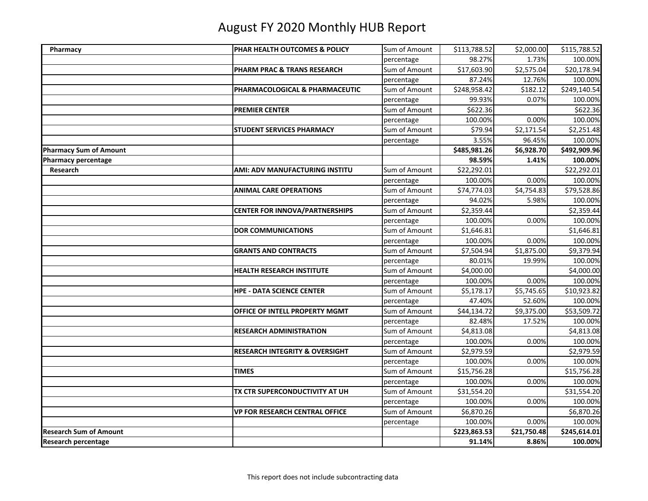| Pharmacy                      | PHAR HEALTH OUTCOMES & POLICY             | Sum of Amount | \$113,788.52 | \$2,000.00  | \$115,788.52 |
|-------------------------------|-------------------------------------------|---------------|--------------|-------------|--------------|
|                               |                                           | percentage    | 98.27%       | 1.73%       | 100.00%      |
|                               | <b>PHARM PRAC &amp; TRANS RESEARCH</b>    | Sum of Amount | \$17,603.90  | \$2,575.04  | \$20,178.94  |
|                               |                                           | percentage    | 87.24%       | 12.76%      | 100.00%      |
|                               | PHARMACOLOGICAL & PHARMACEUTIC            | Sum of Amount | \$248,958.42 | \$182.12    | \$249,140.54 |
|                               |                                           | percentage    | 99.93%       | 0.07%       | 100.00%      |
|                               | <b>PREMIER CENTER</b>                     | Sum of Amount | \$622.36     |             | \$622.36     |
|                               |                                           | percentage    | 100.00%      | 0.00%       | 100.00%      |
|                               | <b>STUDENT SERVICES PHARMACY</b>          | Sum of Amount | \$79.94      | \$2,171.54  | \$2,251.48   |
|                               |                                           | percentage    | 3.55%        | 96.45%      | 100.00%      |
| <b>Pharmacy Sum of Amount</b> |                                           |               | \$485,981.26 | \$6,928.70  | \$492,909.96 |
| <b>Pharmacy percentage</b>    |                                           |               | 98.59%       | 1.41%       | 100.00%      |
| <b>Research</b>               | AMI: ADV MANUFACTURING INSTITU            | Sum of Amount | \$22,292.01  |             | \$22,292.01  |
|                               |                                           | percentage    | 100.00%      | 0.00%       | 100.00%      |
|                               | <b>ANIMAL CARE OPERATIONS</b>             | Sum of Amount | \$74,774.03  | \$4,754.83  | \$79,528.86  |
|                               |                                           | percentage    | 94.02%       | 5.98%       | 100.00%      |
|                               | <b>CENTER FOR INNOVA/PARTNERSHIPS</b>     | Sum of Amount | \$2,359.44   |             | \$2,359.44   |
|                               |                                           | percentage    | 100.00%      | 0.00%       | 100.00%      |
|                               | <b>DOR COMMUNICATIONS</b>                 | Sum of Amount | \$1,646.81   |             | \$1,646.81   |
|                               |                                           | percentage    | 100.00%      | 0.00%       | 100.00%      |
|                               | <b>GRANTS AND CONTRACTS</b>               | Sum of Amount | \$7,504.94   | \$1,875.00  | \$9,379.94   |
|                               |                                           | percentage    | 80.01%       | 19.99%      | 100.00%      |
|                               | <b>HEALTH RESEARCH INSTITUTE</b>          | Sum of Amount | \$4,000.00   |             | \$4,000.00   |
|                               |                                           | percentage    | 100.00%      | 0.00%       | 100.00%      |
|                               | <b>HPE - DATA SCIENCE CENTER</b>          | Sum of Amount | \$5,178.17   | \$5,745.65  | \$10,923.82  |
|                               |                                           | percentage    | 47.40%       | 52.60%      | 100.00%      |
|                               | OFFICE OF INTELL PROPERTY MGMT            | Sum of Amount | \$44,134.72  | \$9,375.00  | \$53,509.72  |
|                               |                                           | percentage    | 82.48%       | 17.52%      | 100.00%      |
|                               | <b>RESEARCH ADMINISTRATION</b>            | Sum of Amount | \$4,813.08   |             | \$4,813.08   |
|                               |                                           | percentage    | 100.00%      | 0.00%       | 100.00%      |
|                               | <b>RESEARCH INTEGRITY &amp; OVERSIGHT</b> | Sum of Amount | \$2,979.59   |             | \$2,979.59   |
|                               |                                           | percentage    | 100.00%      | 0.00%       | 100.00%      |
|                               | <b>TIMES</b>                              | Sum of Amount | \$15,756.28  |             | \$15,756.28  |
|                               |                                           | percentage    | 100.00%      | 0.00%       | 100.00%      |
|                               | TX CTR SUPERCONDUCTIVITY AT UH            | Sum of Amount | \$31,554.20  |             | \$31,554.20  |
|                               |                                           | percentage    | 100.00%      | 0.00%       | 100.00%      |
|                               | <b>VP FOR RESEARCH CENTRAL OFFICE</b>     | Sum of Amount | \$6,870.26   |             | \$6,870.26   |
|                               |                                           | percentage    | 100.00%      | 0.00%       | 100.00%      |
| <b>Research Sum of Amount</b> |                                           |               | \$223,863.53 | \$21,750.48 | \$245,614.01 |
| <b>Research percentage</b>    |                                           |               | 91.14%       | 8.86%       | 100.00%      |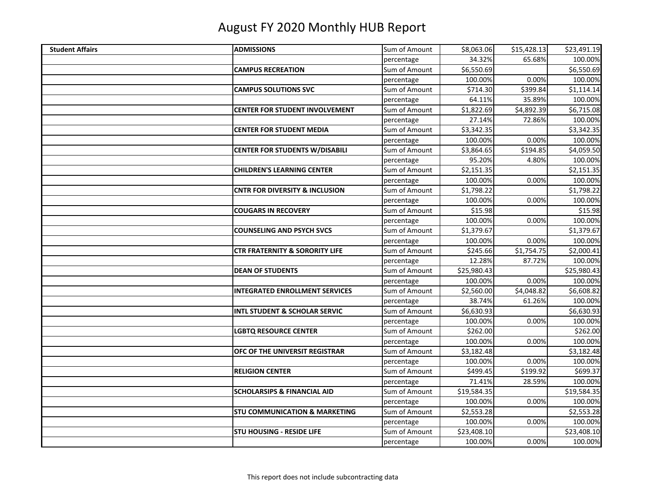| <b>Student Affairs</b> | <b>ADMISSIONS</b>                         | Sum of Amount | \$8,063.06  | \$15,428.13 | \$23,491.19 |
|------------------------|-------------------------------------------|---------------|-------------|-------------|-------------|
|                        |                                           | percentage    | 34.32%      | 65.68%      | 100.00%     |
|                        | <b>CAMPUS RECREATION</b>                  | Sum of Amount | \$6,550.69  |             | \$6,550.69  |
|                        |                                           | percentage    | 100.00%     | 0.00%       | 100.00%     |
|                        | <b>CAMPUS SOLUTIONS SVC</b>               | Sum of Amount | \$714.30    | \$399.84    | \$1,114.14  |
|                        |                                           | percentage    | 64.11%      | 35.89%      | 100.00%     |
|                        | <b>CENTER FOR STUDENT INVOLVEMENT</b>     | Sum of Amount | \$1,822.69  | \$4,892.39  | \$6,715.08  |
|                        |                                           | percentage    | 27.14%      | 72.86%      | 100.00%     |
|                        | <b>CENTER FOR STUDENT MEDIA</b>           | Sum of Amount | \$3,342.35  |             | \$3,342.35  |
|                        |                                           | percentage    | 100.00%     | 0.00%       | 100.00%     |
|                        | <b>CENTER FOR STUDENTS W/DISABILI</b>     | Sum of Amount | \$3,864.65  | \$194.85    | \$4,059.50  |
|                        |                                           | percentage    | 95.20%      | 4.80%       | 100.00%     |
|                        | <b>CHILDREN'S LEARNING CENTER</b>         | Sum of Amount | \$2,151.35  |             | \$2,151.35  |
|                        |                                           | percentage    | 100.00%     | 0.00%       | 100.00%     |
|                        | <b>CNTR FOR DIVERSITY &amp; INCLUSION</b> | Sum of Amount | \$1,798.22  |             | \$1,798.22  |
|                        |                                           | percentage    | 100.00%     | 0.00%       | 100.00%     |
|                        | <b>COUGARS IN RECOVERY</b>                | Sum of Amount | \$15.98     |             | \$15.98     |
|                        |                                           | percentage    | 100.00%     | 0.00%       | 100.00%     |
|                        | <b>COUNSELING AND PSYCH SVCS</b>          | Sum of Amount | \$1,379.67  |             | \$1,379.67  |
|                        |                                           | percentage    | 100.00%     | 0.00%       | 100.00%     |
|                        | <b>CTR FRATERNITY &amp; SORORITY LIFE</b> | Sum of Amount | \$245.66    | \$1,754.75  | \$2,000.41  |
|                        |                                           | percentage    | 12.28%      | 87.72%      | 100.00%     |
|                        | <b>DEAN OF STUDENTS</b>                   | Sum of Amount | \$25,980.43 |             | \$25,980.43 |
|                        |                                           | percentage    | 100.00%     | 0.00%       | 100.00%     |
|                        | <b>INTEGRATED ENROLLMENT SERVICES</b>     | Sum of Amount | \$2,560.00  | \$4,048.82  | \$6,608.82  |
|                        |                                           | percentage    | 38.74%      | 61.26%      | 100.00%     |
|                        | <b>INTL STUDENT &amp; SCHOLAR SERVIC</b>  | Sum of Amount | \$6,630.93  |             | \$6,630.93  |
|                        |                                           | percentage    | 100.00%     | 0.00%       | 100.00%     |
|                        | <b>LGBTQ RESOURCE CENTER</b>              | Sum of Amount | \$262.00    |             | \$262.00    |
|                        |                                           | percentage    | 100.00%     | 0.00%       | 100.00%     |
|                        | OFC OF THE UNIVERSIT REGISTRAR            | Sum of Amount | \$3,182.48  |             | \$3,182.48  |
|                        |                                           | percentage    | 100.00%     | 0.00%       | 100.00%     |
|                        | <b>RELIGION CENTER</b>                    | Sum of Amount | \$499.45    | \$199.92    | \$699.37    |
|                        |                                           | percentage    | 71.41%      | 28.59%      | 100.00%     |
|                        | <b>SCHOLARSIPS &amp; FINANCIAL AID</b>    | Sum of Amount | \$19,584.35 |             | \$19,584.35 |
|                        |                                           | percentage    | 100.00%     | 0.00%       | 100.00%     |
|                        | <b>STU COMMUNICATION &amp; MARKETING</b>  | Sum of Amount | \$2,553.28  |             | \$2,553.28  |
|                        |                                           | percentage    | 100.00%     | 0.00%       | 100.00%     |
|                        | <b>STU HOUSING - RESIDE LIFE</b>          | Sum of Amount | \$23,408.10 |             | \$23,408.10 |
|                        |                                           | percentage    | 100.00%     | 0.00%       | 100.00%     |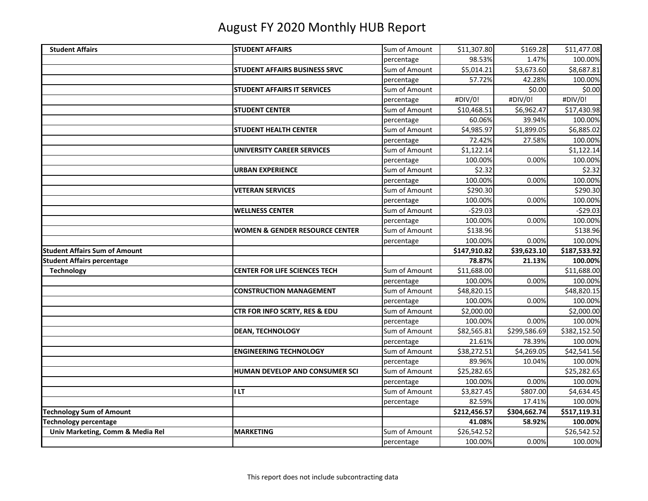| <b>Student Affairs</b>               | <b>STUDENT AFFAIRS</b>                    | Sum of Amount | \$11,307.80            | \$169.28     | \$11,477.08            |
|--------------------------------------|-------------------------------------------|---------------|------------------------|--------------|------------------------|
|                                      |                                           | percentage    | 98.53%                 | 1.47%        | 100.00%                |
|                                      | <b>STUDENT AFFAIRS BUSINESS SRVC</b>      | Sum of Amount | \$5,014.21             | \$3,673.60   | \$8,687.81             |
|                                      |                                           | percentage    | 57.72%                 | 42.28%       | 100.00%                |
|                                      | <b>STUDENT AFFAIRS IT SERVICES</b>        | Sum of Amount |                        | \$0.00       | \$0.00                 |
|                                      |                                           | percentage    | #DIV/0!                | #DIV/0!      | #DIV/0!                |
|                                      | <b>STUDENT CENTER</b>                     | Sum of Amount | \$10,468.51            | \$6,962.47   | \$17,430.98            |
|                                      |                                           | percentage    | 60.06%                 | 39.94%       | 100.00%                |
|                                      | <b>STUDENT HEALTH CENTER</b>              | Sum of Amount | \$4,985.97             | \$1,899.05   | \$6,885.02             |
|                                      |                                           | percentage    | 72.42%                 | 27.58%       | 100.00%                |
|                                      | <b>UNIVERSITY CAREER SERVICES</b>         | Sum of Amount | \$1,122.14             |              | \$1,122.14             |
|                                      |                                           | percentage    | 100.00%                | 0.00%        | 100.00%                |
|                                      | <b>URBAN EXPERIENCE</b>                   | Sum of Amount | \$2.32                 |              | \$2.32                 |
|                                      |                                           | percentage    | 100.00%                | 0.00%        | 100.00%                |
|                                      | <b>VETERAN SERVICES</b>                   | Sum of Amount | \$290.30               |              | \$290.30               |
|                                      |                                           | percentage    | 100.00%                | 0.00%        | 100.00%                |
|                                      | <b>WELLNESS CENTER</b>                    | Sum of Amount | $-529.03$              |              | $-529.03$              |
|                                      |                                           | percentage    | 100.00%                | 0.00%        | 100.00%                |
|                                      | <b>WOMEN &amp; GENDER RESOURCE CENTER</b> | Sum of Amount | \$138.96               |              | \$138.96               |
|                                      |                                           | percentage    | 100.00%                | 0.00%        | 100.00%                |
|                                      |                                           |               |                        |              |                        |
| <b>Student Affairs Sum of Amount</b> |                                           |               | \$147,910.82           | \$39,623.10  | \$187,533.92           |
| <b>Student Affairs percentage</b>    |                                           |               | 78.87%                 | 21.13%       | 100.00%                |
| <b>Technology</b>                    | <b>CENTER FOR LIFE SCIENCES TECH</b>      | Sum of Amount | \$11,688.00            |              | \$11,688.00            |
|                                      |                                           | percentage    | 100.00%                | 0.00%        | 100.00%                |
|                                      | <b>CONSTRUCTION MANAGEMENT</b>            | Sum of Amount | \$48,820.15            |              | \$48,820.15            |
|                                      |                                           | percentage    | 100.00%                | 0.00%        | 100.00%                |
|                                      | CTR FOR INFO SCRTY, RES & EDU             | Sum of Amount | \$2,000.00             |              | \$2,000.00             |
|                                      |                                           | percentage    | 100.00%                | 0.00%        | 100.00%                |
|                                      | <b>DEAN, TECHNOLOGY</b>                   | Sum of Amount | \$82,565.81            | \$299,586.69 | \$382,152.50           |
|                                      |                                           | percentage    | 21.61%                 | 78.39%       | 100.00%                |
|                                      | <b>ENGINEERING TECHNOLOGY</b>             | Sum of Amount | \$38,272.51            | \$4,269.05   | \$42,541.56            |
|                                      |                                           | percentage    | 89.96%                 | 10.04%       | 100.00%                |
|                                      | HUMAN DEVELOP AND CONSUMER SCI            | Sum of Amount | 525,282.65             |              | \$25,282.65            |
|                                      |                                           | percentage    | 100.00%                | 0.00%        | 100.00%                |
|                                      | I LT                                      | Sum of Amount | \$3,827.45             | \$807.00     | \$4,634.45             |
|                                      |                                           | percentage    | 82.59%                 | 17.41%       | 100.00%                |
| <b>Technology Sum of Amount</b>      |                                           |               | \$212,456.57           | \$304,662.74 | \$517,119.31           |
| <b>Technology percentage</b>         |                                           |               | 41.08%                 | 58.92%       | 100.00%                |
| Univ Marketing, Comm & Media Rel     | <b>MARKETING</b>                          | Sum of Amount | \$26,542.52<br>100.00% | 0.00%        | \$26,542.52<br>100.00% |